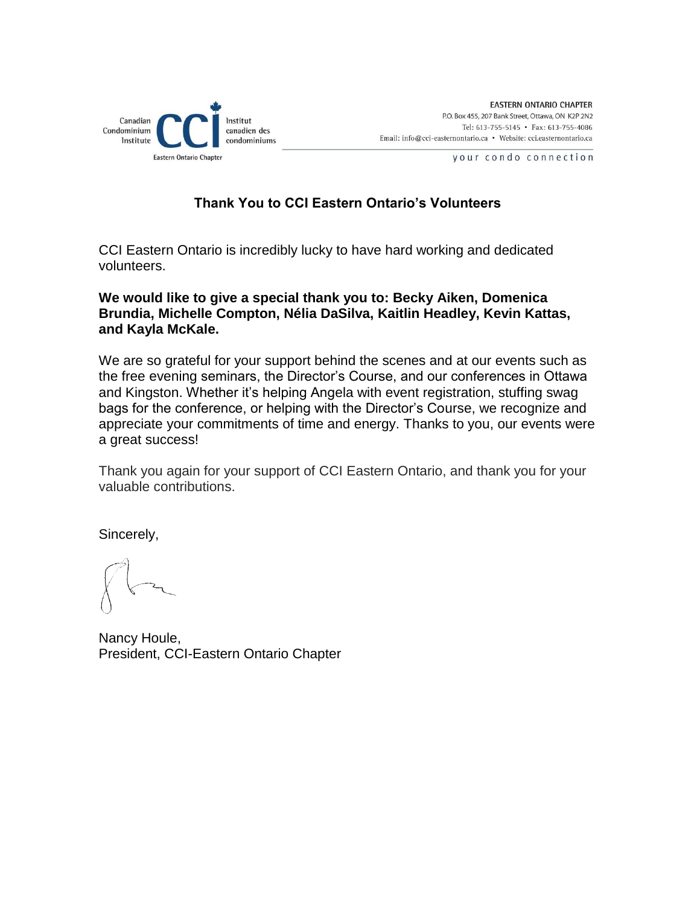

## **Thank You to CCI Eastern Ontario's Volunteers**

CCI Eastern Ontario is incredibly lucky to have hard working and dedicated volunteers.

### **We would like to give a special thank you to: Becky Aiken, Domenica Brundia, Michelle Compton, Nélia DaSilva, Kaitlin Headley, Kevin Kattas, and Kayla McKale.**

We are so grateful for your support behind the scenes and at our events such as the free evening seminars, the Director's Course, and our conferences in Ottawa and Kingston. Whether it's helping Angela with event registration, stuffing swag bags for the conference, or helping with the Director's Course, we recognize and appreciate your commitments of time and energy. Thanks to you, our events were a great success!

Thank you again for your support of CCI Eastern Ontario, and thank you for your valuable contributions.

Sincerely,

Nancy Houle, President, CCI-Eastern Ontario Chapter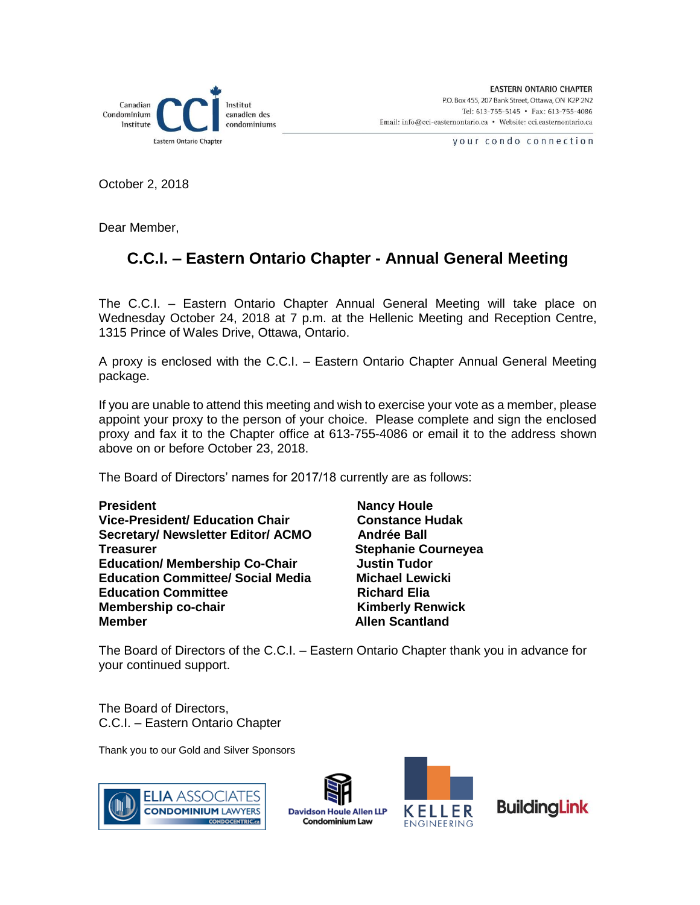

October 2, 2018

Dear Member,

## **C.C.I. – Eastern Ontario Chapter - Annual General Meeting**

The C.C.I. – Eastern Ontario Chapter Annual General Meeting will take place on Wednesday October 24, 2018 at 7 p.m. at the Hellenic Meeting and Reception Centre, 1315 Prince of Wales Drive, Ottawa, Ontario.

A proxy is enclosed with the C.C.I. – Eastern Ontario Chapter Annual General Meeting package.

If you are unable to attend this meeting and wish to exercise your vote as a member, please appoint your proxy to the person of your choice. Please complete and sign the enclosed proxy and fax it to the Chapter office at 613-755-4086 or email it to the address shown above on or before October 23, 2018.

The Board of Directors' names for 2017/18 currently are as follows:

**President Nancy Houle Vice-President/ Education Chair Constance Hudak** Secretary/ Newsletter Editor/ ACMO Andrée Ball **Treasurer Stephanie Courneyea Education/ Membership Co-Chair Manuship Justin Tudor Education Committee/ Social Media Michael Lewicki** Education Committee **Richard Elia**<br>
Membership co-chair **Richard Elia**<br>
Kimberly Renwick **Membership co-chair Member** Allen Scantland

The Board of Directors of the C.C.I. – Eastern Ontario Chapter thank you in advance for your continued support.

The Board of Directors, C.C.I. – Eastern Ontario Chapter

Thank you to our Gold and Silver Sponsors







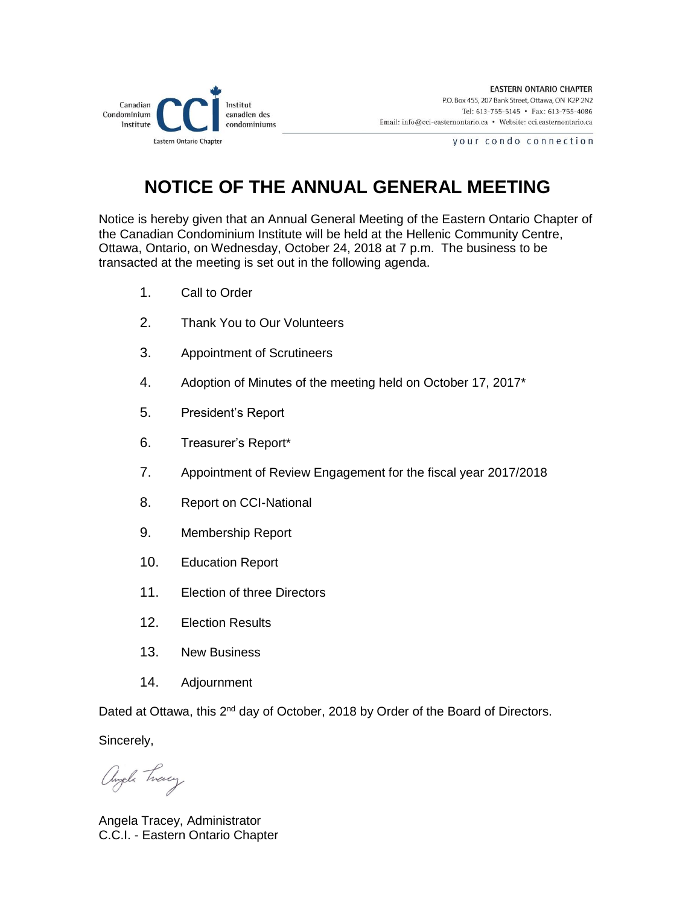

# **NOTICE OF THE ANNUAL GENERAL MEETING**

Notice is hereby given that an Annual General Meeting of the Eastern Ontario Chapter of the Canadian Condominium Institute will be held at the Hellenic Community Centre, Ottawa, Ontario, on Wednesday, October 24, 2018 at 7 p.m. The business to be transacted at the meeting is set out in the following agenda.

- 1. Call to Order
- 2. Thank You to Our Volunteers
- 3. Appointment of Scrutineers
- 4. Adoption of Minutes of the meeting held on October 17, 2017\*
- 5. President's Report
- 6. Treasurer's Report\*
- 7. Appointment of Review Engagement for the fiscal year 2017/2018
- 8. Report on CCI-National
- 9. Membership Report
- 10. Education Report
- 11. Election of three Directors
- 12. Election Results
- 13. New Business
- 14. Adjournment

Dated at Ottawa, this 2<sup>nd</sup> day of October, 2018 by Order of the Board of Directors.

Sincerely,

angele Tweey

Angela Tracey, Administrator C.C.I. - Eastern Ontario Chapter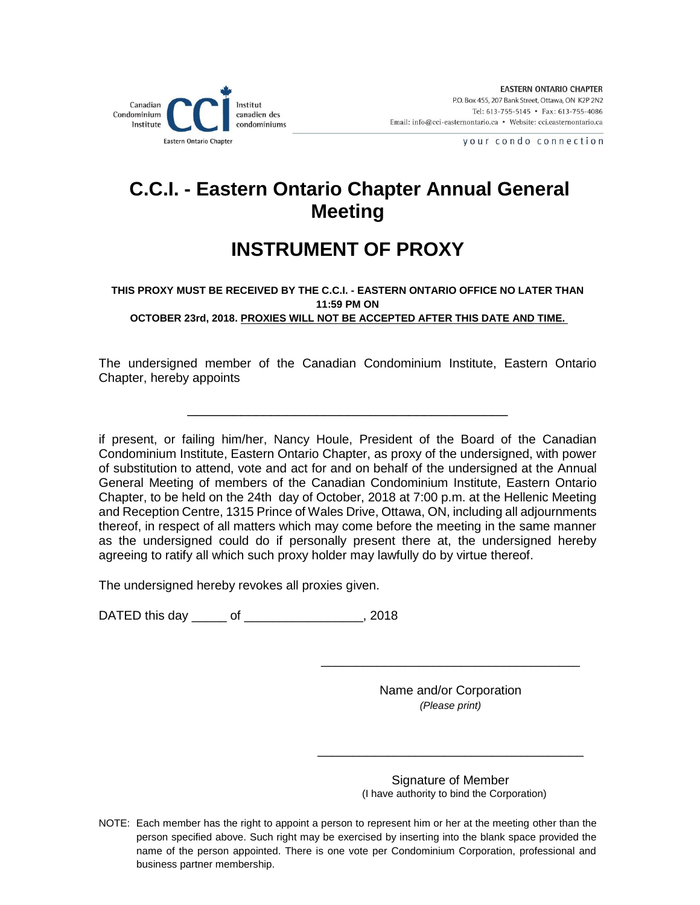

# **C.C.I. - Eastern Ontario Chapter Annual General Meeting**

# **INSTRUMENT OF PROXY**

#### **THIS PROXY MUST BE RECEIVED BY THE C.C.I. - EASTERN ONTARIO OFFICE NO LATER THAN 11:59 PM ON OCTOBER 23rd, 2018. PROXIES WILL NOT BE ACCEPTED AFTER THIS DATE AND TIME.**

The undersigned member of the Canadian Condominium Institute, Eastern Ontario Chapter, hereby appoints

\_\_\_\_\_\_\_\_\_\_\_\_\_\_\_\_\_\_\_\_\_\_\_\_\_\_\_\_\_\_\_\_\_\_\_\_\_\_\_\_\_\_

if present, or failing him/her, Nancy Houle, President of the Board of the Canadian Condominium Institute, Eastern Ontario Chapter, as proxy of the undersigned, with power of substitution to attend, vote and act for and on behalf of the undersigned at the Annual General Meeting of members of the Canadian Condominium Institute, Eastern Ontario Chapter, to be held on the 24th day of October, 2018 at 7:00 p.m. at the Hellenic Meeting and Reception Centre, 1315 Prince of Wales Drive, Ottawa, ON, including all adjournments thereof, in respect of all matters which may come before the meeting in the same manner as the undersigned could do if personally present there at, the undersigned hereby agreeing to ratify all which such proxy holder may lawfully do by virtue thereof.

The undersigned hereby revokes all proxies given.

DATED this day \_\_\_\_\_ of \_\_\_\_\_\_\_\_\_\_\_\_\_\_\_\_\_, 2018

Name and/or Corporation *(Please print)* 

\_\_\_\_\_\_\_\_\_\_\_\_\_\_\_\_\_\_\_\_\_\_\_\_\_\_\_\_\_\_\_\_\_\_\_\_\_\_

\_\_\_\_\_\_\_\_\_\_\_\_\_\_\_\_\_\_\_\_\_\_\_\_\_\_\_\_\_\_\_\_\_\_\_\_\_

Signature of Member (I have authority to bind the Corporation)

NOTE: Each member has the right to appoint a person to represent him or her at the meeting other than the person specified above. Such right may be exercised by inserting into the blank space provided the name of the person appointed. There is one vote per Condominium Corporation, professional and business partner membership.